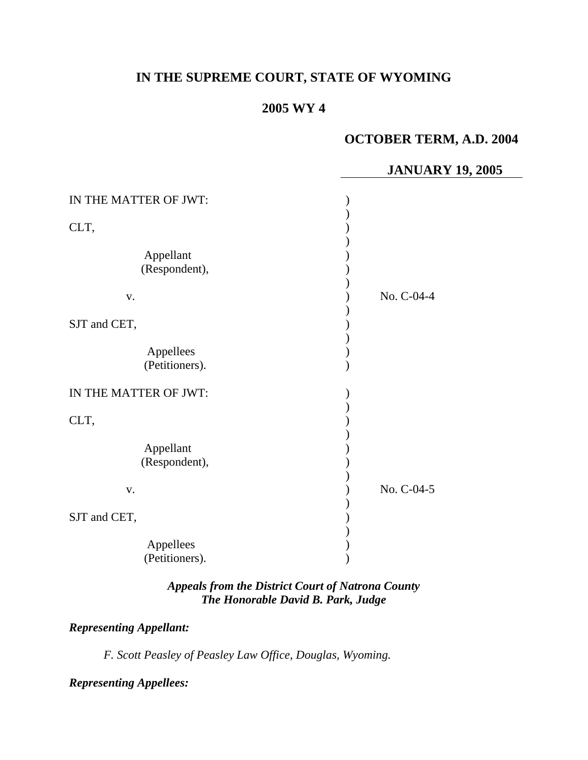# **IN THE SUPREME COURT, STATE OF WYOMING**

# **2005 WY 4**

# **OCTOBER TERM, A.D. 2004**

## **JANUARY 19, 2005**

| IN THE MATTER OF JWT:      |            |
|----------------------------|------------|
| CLT,                       |            |
| Appellant<br>(Respondent), |            |
| V.                         | No. C-04-4 |
| SJT and CET,               |            |
| Appellees                  |            |
| (Petitioners).             |            |
| IN THE MATTER OF JWT:      |            |
| CLT,                       |            |
| Appellant                  |            |
| (Respondent),              |            |
| V.                         | No. C-04-5 |
| SJT and CET,               |            |
| Appellees                  |            |
| (Petitioners).             |            |

### *Appeals from the District Court of Natrona County The Honorable David B. Park, Judge*

### *Representing Appellant:*

*F. Scott Peasley of Peasley Law Office, Douglas, Wyoming.* 

*Representing Appellees:*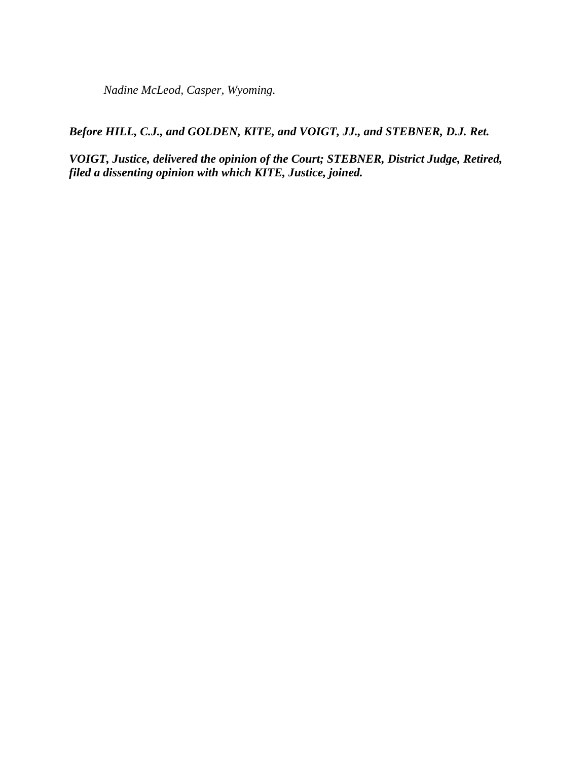*Nadine McLeod, Casper, Wyoming.* 

*Before HILL, C.J., and GOLDEN, KITE, and VOIGT, JJ., and STEBNER, D.J. Ret.* 

*VOIGT, Justice, delivered the opinion of the Court; STEBNER, District Judge, Retired, filed a dissenting opinion with which KITE, Justice, joined.*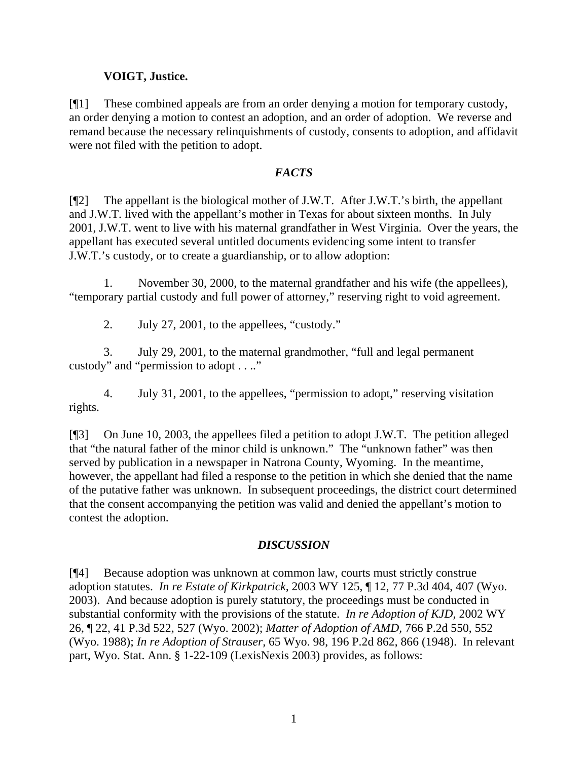### **VOIGT, Justice.**

[¶1] These combined appeals are from an order denying a motion for temporary custody, an order denying a motion to contest an adoption, and an order of adoption. We reverse and remand because the necessary relinquishments of custody, consents to adoption, and affidavit were not filed with the petition to adopt.

#### *FACTS*

[¶2] The appellant is the biological mother of J.W.T. After J.W.T.'s birth, the appellant and J.W.T. lived with the appellant's mother in Texas for about sixteen months. In July 2001, J.W.T. went to live with his maternal grandfather in West Virginia. Over the years, the appellant has executed several untitled documents evidencing some intent to transfer J.W.T.'s custody, or to create a guardianship, or to allow adoption:

1. November 30, 2000, to the maternal grandfather and his wife (the appellees), "temporary partial custody and full power of attorney," reserving right to void agreement.

2. July 27, 2001, to the appellees, "custody."

3. July 29, 2001, to the maternal grandmother, "full and legal permanent custody" and "permission to adopt . . .."

4. July 31, 2001, to the appellees, "permission to adopt," reserving visitation rights.

[¶3] On June 10, 2003, the appellees filed a petition to adopt J.W.T. The petition alleged that "the natural father of the minor child is unknown." The "unknown father" was then served by publication in a newspaper in Natrona County, Wyoming. In the meantime, however, the appellant had filed a response to the petition in which she denied that the name of the putative father was unknown. In subsequent proceedings, the district court determined that the consent accompanying the petition was valid and denied the appellant's motion to contest the adoption.

#### *DISCUSSION*

[¶4] Because adoption was unknown at common law, courts must strictly construe adoption statutes. *In re Estate of Kirkpatrick,* 2003 WY 125, ¶ 12, 77 P.3d 404, 407 (Wyo. 2003). And because adoption is purely statutory, the proceedings must be conducted in substantial conformity with the provisions of the statute. *In re Adoption of KJD,* 2002 WY 26, ¶ 22, 41 P.3d 522, 527 (Wyo. 2002); *Matter of Adoption of AMD,* 766 P.2d 550, 552 (Wyo. 1988); *In re Adoption of Strauser,* 65 Wyo. 98, 196 P.2d 862, 866 (1948). In relevant part, Wyo. Stat. Ann. § 1-22-109 (LexisNexis 2003) provides, as follows: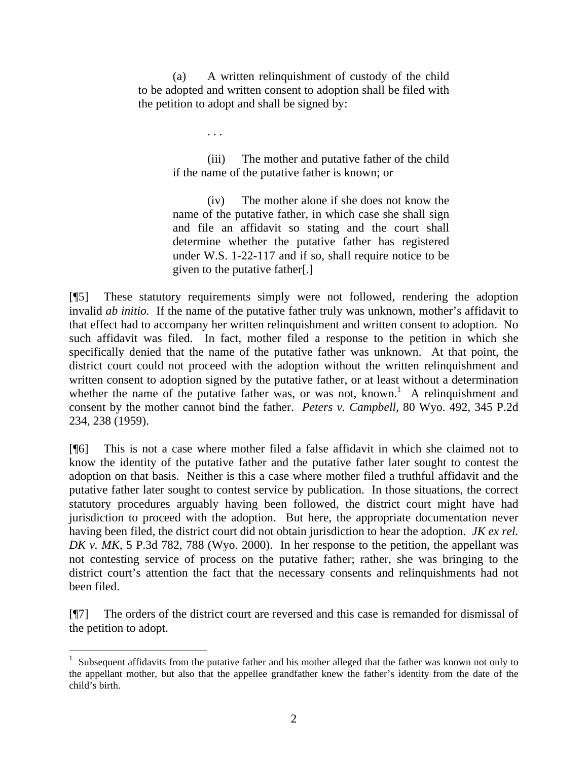(a) A written relinquishment of custody of the child to be adopted and written consent to adoption shall be filed with the petition to adopt and shall be signed by:

. . .

(iii) The mother and putative father of the child if the name of the putative father is known; or

(iv) The mother alone if she does not know the name of the putative father, in which case she shall sign and file an affidavit so stating and the court shall determine whether the putative father has registered under W.S. 1-22-117 and if so, shall require notice to be given to the putative father[.]

[¶5] These statutory requirements simply were not followed, rendering the adoption invalid *ab initio.* If the name of the putative father truly was unknown, mother's affidavit to that effect had to accompany her written relinquishment and written consent to adoption. No such affidavit was filed. In fact, mother filed a response to the petition in which she specifically denied that the name of the putative father was unknown. At that point, the district court could not proceed with the adoption without the written relinquishment and written consent to adoption signed by the putative father, or at least without a determination whetherthe name of the putative father was, or was not, known.<sup>1</sup> A relinquishment and consent by the mother cannot bind the father. *Peters v. Campbell,* 80 Wyo. 492, 345 P.2d 234, 238 (1959).

[¶6] This is not a case where mother filed a false affidavit in which she claimed not to know the identity of the putative father and the putative father later sought to contest the adoption on that basis. Neither is this a case where mother filed a truthful affidavit and the putative father later sought to contest service by publication. In those situations, the correct statutory procedures arguably having been followed, the district court might have had jurisdiction to proceed with the adoption. But here, the appropriate documentation never having been filed, the district court did not obtain jurisdiction to hear the adoption. *JK ex rel. DK v. MK,* 5 P.3d 782, 788 (Wyo. 2000). In her response to the petition, the appellant was not contesting service of process on the putative father; rather, she was bringing to the district court's attention the fact that the necessary consents and relinquishments had not been filed.

[¶7] The orders of the district court are reversed and this case is remanded for dismissal of the petition to adopt.

<span id="page-3-0"></span> $\frac{1}{1}$  $1$  Subsequent affidavits from the putative father and his mother alleged that the father was known not only to the appellant mother, but also that the appellee grandfather knew the father's identity from the date of the child's birth.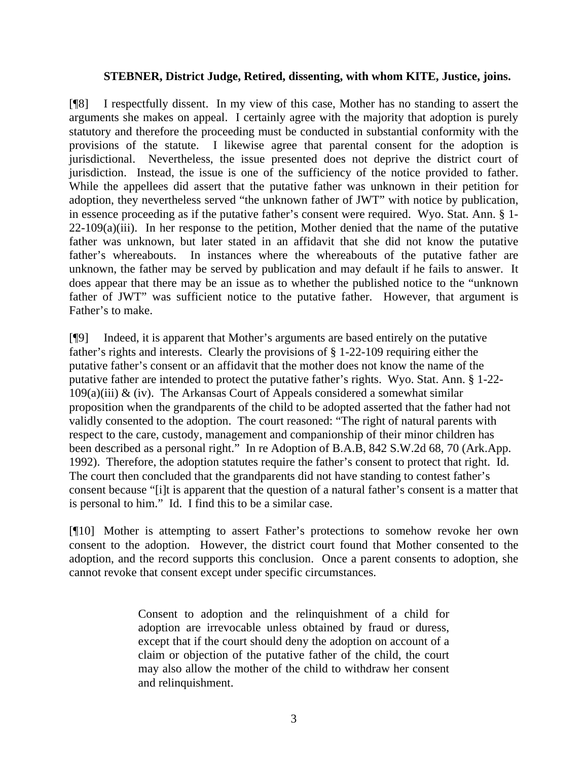#### **STEBNER, District Judge, Retired, dissenting, with whom KITE, Justice, joins.**

[¶8] I respectfully dissent. In my view of this case, Mother has no standing to assert the arguments she makes on appeal. I certainly agree with the majority that adoption is purely statutory and therefore the proceeding must be conducted in substantial conformity with the provisions of the statute. I likewise agree that parental consent for the adoption is jurisdictional. Nevertheless, the issue presented does not deprive the district court of jurisdiction. Instead, the issue is one of the sufficiency of the notice provided to father. While the appellees did assert that the putative father was unknown in their petition for adoption, they nevertheless served "the unknown father of JWT" with notice by publication, in essence proceeding as if the putative father's consent were required. Wyo. Stat. Ann. § 1-  $22-109(a)(iii)$ . In her response to the petition, Mother denied that the name of the putative father was unknown, but later stated in an affidavit that she did not know the putative father's whereabouts. In instances where the whereabouts of the putative father are unknown, the father may be served by publication and may default if he fails to answer. It does appear that there may be an issue as to whether the published notice to the "unknown father of JWT" was sufficient notice to the putative father. However, that argument is Father's to make.

[¶9] Indeed, it is apparent that Mother's arguments are based entirely on the putative father's rights and interests. Clearly the provisions of § 1-22-109 requiring either the putative father's consent or an affidavit that the mother does not know the name of the putative father are intended to protect the putative father's rights. Wyo. Stat. Ann. § 1-22-  $109(a)(iii)$  & (iv). The Arkansas Court of Appeals considered a somewhat similar proposition when the grandparents of the child to be adopted asserted that the father had not validly consented to the adoption. The court reasoned: "The right of natural parents with respect to the care, custody, management and companionship of their minor children has been described as a personal right." In re Adoption of B.A.B, 842 S.W.2d 68, 70 (Ark.App. 1992). Therefore, the adoption statutes require the father's consent to protect that right. Id. The court then concluded that the grandparents did not have standing to contest father's consent because "[i]t is apparent that the question of a natural father's consent is a matter that is personal to him." Id. I find this to be a similar case.

[¶10] Mother is attempting to assert Father's protections to somehow revoke her own consent to the adoption. However, the district court found that Mother consented to the adoption, and the record supports this conclusion. Once a parent consents to adoption, she cannot revoke that consent except under specific circumstances.

> Consent to adoption and the relinquishment of a child for adoption are irrevocable unless obtained by fraud or duress, except that if the court should deny the adoption on account of a claim or objection of the putative father of the child, the court may also allow the mother of the child to withdraw her consent and relinquishment.